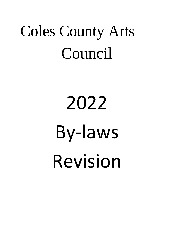# Coles County Arts Council

# 2022 By-laws Revision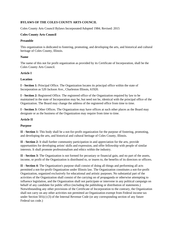# **BYLAWS OF THE COLES COUNTY ARTS COUNCIL**

Coles County Arts Council Bylaws Incorporated/Adopted 1984; Revised: 2015

# **Coles County Arts Council**

# **Preamble**

This organization is dedicated to fostering, promoting, and developing the arts, and historical and cultural heritage of Coles County, Illinois.

# **Name**

The name of this not for profit organization as provided by its Certificate of Incorporation, shall be the Coles County Arts Council.

# **Article I**

# **Location**

**I - Section 1:** Principal Office. The Organization locates its principal office within the state of Incorporation as 520 Jackson Ave., Charleston Illinois, 61920.

**I - Section 2:** Registered Office. The registered office of the Organization required by law to be maintained in the state of Incorporation may be, but need not be, identical with the principal office of the Organization. The Board may change the address of the registered office from time to time.

**I - Section 3:** Other Offices. The Organization may have offices at such other places as the Board may designate or as the business of the Organization may require from time to time.

# **Article II**

#### **Purpose**

**II - Section 1:** This body shall be a not-for-profit organization for the purpose of fostering, promoting, and developing the arts, and historical and cultural heritage of Coles County, Illinois.

**II - Section 2:** It shall further community participation in and appreciation for the arts, provide opportunities for developing artists' skills and expression, and offer fellowship with people of similar interests. It shall promote professionalism and ethics within the industry.

**II - Section 3:** The Organization is not formed for pecuniary or financial gain, and no part of the assets, income, or profit of the Organization is distributed to, or inures to, the benefits of its directors or officers.

**II - Section 4:** The Organization's purpose shall consist of doing all things and performing all acts permitted a not-for-profit Organization under Illinois law. The Organization constitutes a not-for-profit Organization, organized exclusively for educational and artistic purposes. No substantial part of the activities of the Organization shall consist of the carrying on of propaganda or otherwise attempting to influence legislation, and the Organization shall not participate or intervene in any political campaign on behalf of any candidate for public office (including the publishing or distribution of statements.) Notwithstanding any other provisions of the Certificate of Incorporation to the contrary, the Organization shall not carry on any other activities not permitted an Organization exempt from Federal income tax under Section 501(c) (3) of the Internal Revenue Code (or any corresponding section of any future Federal tax code.)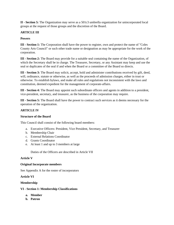**II - Section 5:** The Organization may serve as a 501c3 umbrella organization for unincorporated local groups at the request of those groups and the discretion of the Board.

# **ARTICLE III**

#### **Powers**

**III - Section 1:** The Corporation shall have the power to register, own and protect the name of "Coles County Arts Council" or such other trade name or designation as may be appropriate for the work of the corporation.

**III - Section 2:** The Board may provide for a suitable seal containing the name of the Organization, of which the Secretary shall be in charge. The Treasurer, Secretary, or any Assistant may keep and use the seal or duplicates of the seal if and when the Board or a committee of the Board so directs.

**III - Section 3:** The Board may solicit, accept, hold and administer contributions received by gift, deed, will, ordinance, statute or otherwise, as well as the proceeds of admission charges, either in trust or otherwise. To establish bylaws, and make all rules and regulations not inconsistent with the laws and constitution, deemed expedient for the management of corporate-affairs.

**III - Section 4:** The Board may appoint such subordinate officers and agents in addition to a president, vice-president, secretary, and treasurer, as the business of the corporation may require.

**III - Section 5:** The Board shall have the power to contract such services as it deems necessary for the operation of the organization.

# **ARTICLE IV**

#### **Structure of the Board**

This Council shall consist of the following board members:

- a. Executive Officers: President, Vice President, Secretary, and Treasurer
- b. Membership Chair
- c. External Relations Coordinator
- d. Grants Coordinator
- e. At least 1 and up to 3 members at large

Duties of the Officers are described in Article VII

#### **Article V**

#### **Original Incorporate members**

See Appendix A for the roster of incorporators

# **Article VI**

# **Membership**

# **VI - Section 1: Membership Classifications**

- **a. Member**
- **b. Patron**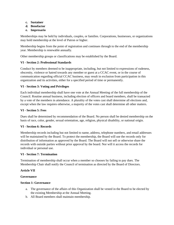- **c. Sustainer**
- **d. Benefactor**
- **e. Impresario**

Memberships may be held by individuals, couples, or families. Corporations, businesses, or organizations may hold membership at the level of Patron or higher.

Membership begins from the point of registration and continues through to the end of the membership year. Membership is renewable annually.

Other membership groups or classifications may be established by the Board.

# **VI - Section 2: Professional Standards**

Conduct by members deemed to be inappropriate, including, but not limited to expressions of rudeness, obscenity, violence or hatred towards any member or guest at a CCAC event, or in the course of communication regarding official CCAC business, may result in exclusion from participation in this organization and its activities, either for a specified period of time or permanently.

# **VI - Section 3: Voting and Privileges**

Each individual membership shall have one vote at the Annual Meeting of the full membership of the Council. Routine annual business, including election of officers and board members, shall be transacted by a vote of the members in attendance. A plurality of the votes cast shall determine all elections and, except when the law requires otherwise, a majority of the votes cast shall determine all other matters.

# **VI - Section 5: Fees**

Dues shall be determined by recommendation of the Board. No person shall be denied membership on the basis of race, color, gender, sexual orientation, age, religion, physical disability, or national origin.

# **VI - Section 6: Records**

Membership records including but not limited to name, address, telephone numbers, and email addresses will be maintained by the Board. To protect the membership, the Board will use the records only for distribution of information as approved by the Board. The Board will not sell or otherwise share the records with outside parties without prior approval by the board. Nor will it access the records for individual or personal use.

# **VI - Section 7: Termination**

Termination of membership shall occur when a member so chooses by failing to pay dues. The Membership Chair shall notify the Council of termination as directed by the Board of Directors.

# **Article VII**

# **Governance**

# **Section 1: Governance**

- a. The governance of the affairs of this Organization shall be vested in the Board to be elected by the existing Membership at the Annual Meeting.
- b. All Board members shall maintain membership.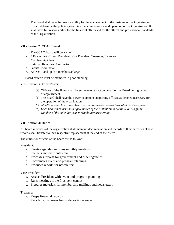c. The Board shall have full responsibility for the management of the business of the Organization. It shall determine the policies governing the administration and operation of the Organization. It shall have full responsibility for the financial affairs and for the ethical and professional standards of the Organization.

# **VII - Section 2: CCAC Board**

The CCAC Board will consist of:

- a. 4 Executive Officers: President, Vice President, Treasurer, Secretary
- b. Membership Chair
- c. External Relations Coordinator
- d. Grants Coordinator
- e. At least 1 and up to 3 members at large

All Board officers must be members in good standing

VII – Section 3 Officer Powers

- (a) Officers of the Board shall be empowered to act on behalf of the Board during periods of adjournment.
- (b) The Board shall have the power to appoint supporting officers as deemed necessary for the operation of the organization.
- *(c) All officers and board members shall serve an open-ended term of at least one year.*
- *(d) Each board member should give notice of their intention to continue or resign by October of the calendar year in which they are serving.*

#### **VII - Section 4: Duties**

All board members of the organization shall maintain documentation and records of their activities. These records shall transfer to their respective replacement at the end of their term.

The duties for officers of the board are as follows:

President:

- a. Creates agendas and runs monthly meetings
- b. Collects and distributes mail
- c. Processes reports for government and other agencies
- d. Coordinates event and program planning
- e. Produces reports for newsletters

Vice President:

- a. Assists President with event and program planning
- b. Runs meetings if the President cannot
- c. Prepares materials for membership mailings and newsletters

# Treasurer:

- a. Keeps financial records
- b. Pays bills, disburses funds, deposits revenues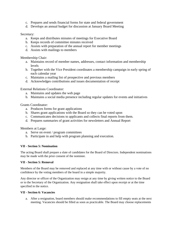- c. Prepares and sends financial forms for state and federal government
- d. Develops an annual budget for discussion at January Board Meeting

# Secretary:

- a. Keeps and distributes minutes of meetings for Executive Board
- b. Keeps records of committee minutes received
- c. Assists with preparation of the annual report for member meetings
- d. Assists with mailings to members

Membership Chair:

- a. Maintains record of member names, addresses, contact information and membership levels
- b. Together with the Vice President coordinates a membership campaign in early spring of each calendar year
- c. Maintains a mailing list of prospective and previous members
- d. Acknowledges contributions and issues documentation of receipt

External Relations Coordinator:

- a. Maintains and updates the web page
- b. Maintains a social media presence including regular updates for events and initiatives

Grants Coordinator:

- a. Produces forms for grant applications
- b. Shares grant applications with the Board so they can be voted upon
- c. Communicates decisions to applicants and collects final reports from them.
- d. Prepares summaries of grant activities for newsletters and Annual Report

Members at Large:

- a. Serve on event / program committees
- b. Participate in and help with program planning and execution.

#### **VII - Section 5: Nomination**

The acting Board shall prepare a slate of candidates for the Board of Directors. Independent nominations may be made with the prior consent of the nominee.

#### **VII - Section 5: Removal**

Members of the Board may be removed and replaced at any time with or without cause by a vote of no confidence by the voting members of the board in a simple majority.

Any director or officer of the Organization may resign at any time by giving written notice to the Board or to the Secretary of the Organization. Any resignation shall take effect upon receipt or at the time specified in the notice.

#### **VII - Section 6: Vacancies**

a. After a resignation, board members should make recommendations to fill empty seats at the next meeting. Vacancies should be filled as soon as practicable. The Board may choose replacements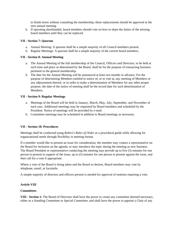to finish terms without consulting the membership; these replacements should be approved at the next annual meeting.

b. If operating shorthanded, board members should vote on how to share the duties of the missing board members until they can be replaced.

#### **VII - Section 7: Quorum**

- a. Annual Meeting: A quorum shall be a simple majority of all Council members present.
- b. Regular Meetings: A quorum shall be a simple majority of the current board members.

#### **VII - Section 8: Annual Meeting**

- a. The Annual Meeting of the full membership of the Council, Officers and Directors, to be held at such time and place as determined by the Board, shall be for the purpose of transacting business pertinent to the general membership.
- b. The date for the Annual Meeting will be announced at least two months in advance. For the purpose of determining Members entitled to notice of, or to vote at, any meeting of Members or any adjournment thereof, or in order to make a determination of Members for any other proper purpose, the date of the notice of meeting shall be the record date for such determination of Members.

#### **VII - Section 9: Regular Meetings**

- a. Meetings of the Board will be held in January, March, May, July, September, and November of each year. Additional meetings may be requested by Board members and scheduled by the President. Notice of meetings will be provided by e-mail.
- b. Committee meetings may be scheduled in addition to Board meetings as necessary.

#### **VII - Section 10: Procedures**

Meetings shall be conducted using *Robert's Rules of Order* as a procedural guide while allowing for organizational needs through flexibility in meeting format.

If a member would like to present an issue for consideration, the member may contact a representative on the Board for inclusion on the agenda, or may introduce the topic during the meeting as new business. The Board President or representative conducting the meeting may provide up to five (5) minutes for one person to present in support of the issue, up to (5) minutes for one person to present against the issue, and then call for a vote if appropriate.

Where a vote of the Board is being taken and the Board so desires, Board members may vote by telephone, email, or facsimile.

A simple majority of directors and officers present is needed for approval of motions requiring a vote.

#### **Article VIII**

#### **Committees**

**VIII - Section 1:** The Board of Directors shall have the power to create any committee deemed necessary, either as a Standing Committee or Special Committee, and shall have the power to appoint a Chair of any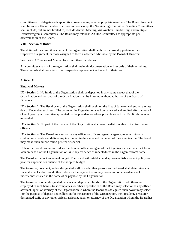committee or to delegate such appointive powers to any other appropriate members. The Board President shall be an ex-officio member of all committees except the Nominating Committee. Standing Committees shall include, but are not limited to, Prelude Annual Meeting, Art Auction, Fundraising, and multiple Events/Programs Committees. The Board may establish Ad Hoc Committees as appropriate per determination of the Board.

# **VIII - Section 2: Duties**

The duties of the committee chairs of the organization shall be those that usually pertain to their respective assignment, or those assigned to them as deemed advisable by the Board of Directors.

See the CCAC Personnel Manual for committee chair duties.

All committee chairs of the organization shall maintain documentation and records of their activities. These records shall transfer to their respective replacement at the end of their term.

# **Article IX**

#### **Financial Matters**

**IX - Section 1:** No funds of the Organization shall be deposited in any name except that of the Organization and no funds of the Organization shall be invested without authority of the Board of Directors.

**IX - Section 2:** The fiscal year of the Organization shall begin on the first of January and end on the last day of December each year. The books of the Organization shall be balanced and audited after January 1 of each year by a committee appointed by the president or where possible a Certified Public Accountant, as needed.

**IX - Section 3:** No part of the income of the Organization shall ever be distributable to its directors or officers.

**IX - Section 4:** The Board may authorize any officer or officers, agent or agents, to enter into any contract or execute and deliver any instrument in the name and on behalf of the Organization. The board may make such authorization general or special.

Unless the Board has authorized such action, no officer or agent of the Organization shall contract for a loan on behalf of the Organization or issue any evidence of indebtedness in the Organization's name.

The Board will adopt an annual budget. The Board will establish and approve a disbursement policy each year for expenditures outside of the adopted budget.

The treasurer, president, and/or designated staff or such other persons as the Board shall determine shall issue all checks, drafts and other orders for the payment of money, notes and other evidences of indebtedness issued in the name of or payable by the Organization.

The treasurer or other designated person shall deposit all funds of the Organization not otherwise employed in such banks, trust companies, or other depositories as the Board may select or as any officer, assistant, agent or attorney of the Organization to whom the Board has delegated such power may select. For the purpose of deposit and collection for the account of the Organization, the President, Treasurer, designated staff, or any other officer, assistant, agent or attorney of the Organization whom the Board has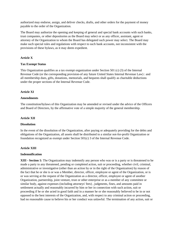authorized may endorse, assign, and deliver checks, drafts, and other orders for the payment of money payable to the order of the Organization.

The Board may authorize the opening and keeping of general and special bank accounts with such banks, trust companies, or other depositories as the Board may select or as any officer, assistant, agent or attorney of the Organization to whom the Board has delegated such power may select. The Board may make such special rules and regulations with respect to such bank accounts, not inconsistent with the provisions of these bylaws, as it may deem expedient.

# **Article X**

# **Tax Exempt Status**

This Organization qualifies as a tax exempt organization under Section 501 (c) (3) of the Internal Revenue Code (or the corresponding provision-of any future United States Internal Revenue Law) : and all membership dues, gifts, donations, memorials, and bequests shall qualify as charitable deductions under the proper sections of the Internal Revenue Code.

# **Article XI**

#### **Amendments**

The constitution/bylaws of this Organization may be amended or revised under the advice of the Officers and Board of Directors, by the affirmative vote of a simple majority of the general membership.

#### **Article XII**

#### **Dissolution**

In the event of the dissolution of the Organization, after paying or adequately providing for the debts and obligations of the Organization, all assets shall be distributed to a similar not-for-profit Organization or foundation recognized as exempt under Section 501(c) 3 of the Internal Revenue Code.

#### **Article XIII**

#### **Indemnification**

**XIII - Section 1:** The Organization may indemnify any person who was or is a party or is threatened to be made a party to any threatened, pending or completed action, suit or proceeding, whether civil, criminal, administrative or investigative (other than an action by or in the right of the Organization) by reason of the fact that he or she is or was a Member, director, officer, employee or agent of the Organization, or is or was serving at the request of the Organization as a director, officer, employee or agent of another Organization, partnership, joint venture, trust or other enterprise or as a member of any committee or similar body, against expenses (including attorneys' fees) , judgments, fines, and amounts paid in settlement actually and reasonably incurred by him or her in connection with such action, suit or proceeding if he or she acted in good faith and in a manner he or she reasonably believed to be in or not opposed to the best interests of the Organization, and, with respect to any criminal action or proceeding, had no reasonable cause to believe his or her conduct was unlawful. The termination of any action, suit or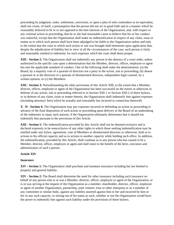proceeding by judgment, order, settlement, conviction, or upon a plea of nolo contendere or its equivalent, shall not create, of itself, a presumption that the person did not act in good faith and in a manner which he reasonably believed to be in or not opposed to the best interests of the Organization, and, with respect to any criminal action or proceeding, that he or she had reasonable cause to believe that his or her conduct was unlawful, except that the Organization shall make no indemnification in respect of any claim, issue or matter as to which such person shall have been adjudged to be liable to the Organization unless and only to the extent that the court in which such action or suit was brought shall determine upon application that, despite the adjudication of liability but in view of all the circumstances of the case, such person is fairly and reasonably entitled to indemnity for such expenses which the court shall deem proper.

**XIII - Section 2:** The Organization shall not indemnify any person in the absence of a court order, unless authorized in the specific case upon a determination that the Member, director, officer, employee or agent has met the applicable standard of conduct. One of the following shall make the determination: (a) the Board, by a majority vote of a quorum of directors not a party to the action, suit or proceeding; (b) absent a quorum or at the direction of a quorum of disinterested directors, independent legal counsel, by a written opinion; or (c) the Members.

**XIII - Section 3:** Notwithstanding the other provisions of this Article XIII, to the extent that a Member, director, officer, employee or agent of the Organization has been successful on the merits or otherwise in defense of any action, suit or proceeding referred to in Section XIII-1 or Section XIII-2 of these bylaws, or in defense of any claim, issue or matter therein, the Organization shall indemnify him against expenses (including attorneys' fees) which he actually and reasonably has incurred in connection therewith.

**XII - Section 4:** The Organization may pay expenses incurred in defending an action or proceeding in advance of the final disposition of such action or proceeding upon delivery to the Board of an undertaking of the indemnity to repay such amount, if the Organization ultimately determines that it should not indemnify him pursuant to the provisions of this Article.

**XIII - Section 5:** The indemnification provided by this Article shall not be deemed exclusive and is declared expressly to be nonexclusive of any other rights to which those seeking indemnification may be entitled under any bylaw, agreement, vote of Members or disinterested directors or otherwise, both as to actions in his official capacity and as to actions in another capacity while holding such office. In addition, the indemnification, provided by this Article, shall continue as to any person who has ceased to be a Member, director, officer, employee or agent and shall inure to the benefit of the heirs, executors and administrators of such a person.

# **Article XIV**

#### **Insurance**

**XIV - Section 1:** The Organization shall purchase and maintain insurance including but not limited to property and general liability.

**XIV - Section 2:** The Board shall determine the need for other insurance including such insurance on behalf of any person who is or was a Member, director, officer, employee or agent of the Organization, or is or was serving at the request of the Organization as a member, shareholder, director, officer, employee or agent of another Organization, partnership, joint venture, trust or other enterprise or as a member of any committee or similar body, against any liability asserted against him or her and incurred by him or her in any such capacity, or arising out of his status as such, whether or not the Organization would have the power to indemnify him against such liability under the provisions of these bylaws.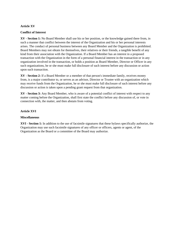#### **Article XV**

#### **Conflict of Interest**

**XV - Section 1:** No Board Member shall use his or her position, or the knowledge gained there from, in such a manner that conflict between the interest of the Organization and his or her personal interests arises. The conduct of personal business between any Board Member and the Organization is prohibited. Board Members may not obtain for themselves, their relatives or their friends, a tangible benefit of any kind from their association with the Organization. If a Board Member has an interest in a proposed transaction with the Organization in the form of a personal financial interest in the transaction or in any organization involved in the transaction, or holds a position as Board Member, Director or Officer in any such organizations, he or she must make full disclosure of such interest before any discussion or action upon such transaction.

**XV - Section 2:** If a Board Member or a member of that person's immediate family, receives money from, is a major contributor to, or serves as an advisor, Director or Trustee with an organization which may receive funds from the Organization, he or she must make full disclosure of such interest before any discussion or action is taken upon a pending grant request from that organization.

**XV - Section 3:** Any Board Member, who is aware of a potential conflict of interest with respect to any matter coming before the Organization, shall first state the conflict before any discussion of, or vote in connection with, the matter, and then abstain from voting.

#### **Article XVI**

#### **Miscellaneous**

**XVI - Section 1:** In addition to the use of facsimile signatures that these bylaws specifically authorize, the Organization may use such facsimile signatures of any officer or officers, agents or agent, of the Organization as the Board or a committee of the Board may authorize.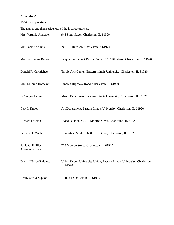#### **Appendix A**

#### **1984 Incorporators**

The names and then residences of the incorporators are: Mrs. Virginia Anderson 948 Sixth Street, Charleston, IL 61920 Mrs. Jackie Adkins 2431 E. Harrison, Charleston, It 61920 Mrs. Jacqueline Bennett Jacqueline Bennett Dance Center, 875 11th Street, Charleston, IL 61920 Donald R. Carmichael Tarble Arts Center, Eastern Illinois University, Charleston, IL 61920 Mrs. Mildred Hofacker Lincoln Highway Road, Charleston, IL 61920 DuWayne Hansen Music Department, Eastern Illinois University, Charleston, IL 61920 Cary I. Knoop Art Department, Eastern Illinois University, Charleston, IL 61920 Richard Lawson D and D Hobbies, 718 Monroe Street, Charleston, IL 61920 Patricia H. Mahler Homestead Studios, 608 Sixth Street, Charleston, IL 61920 Paula G. Phillips 715 Monroe Street, Charleston, IL 61920 Attorney at Law Diann O'Brien Ridgeway Union Depot: University Union, Eastern Illinois University, Charleston, IL 61920 Becky Sawyer Spoon R. R. #4, Charleston, IL 61920